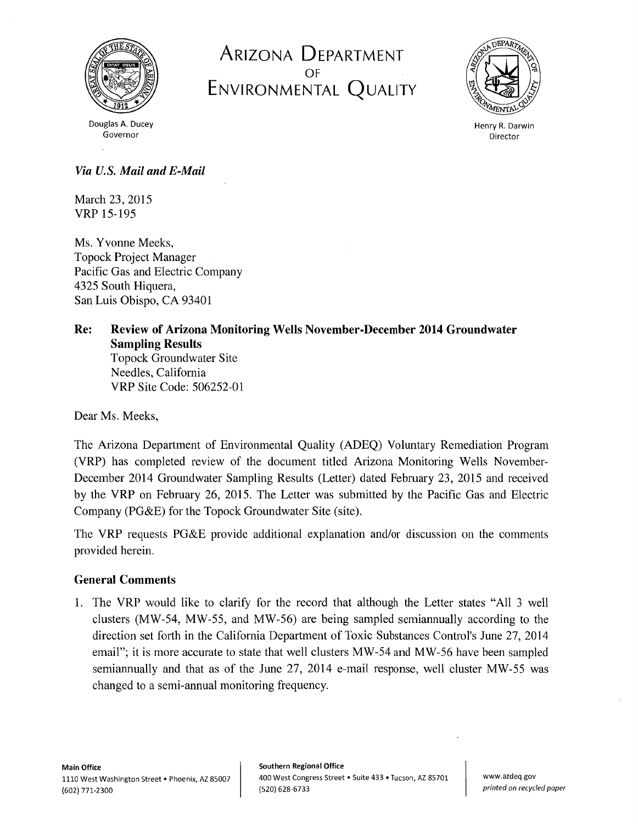

ARIZONA DEPARTMENT OF ENVIRONMENTAL QUALITY



Douglas A. Ducey Governor

Henry R. Darwin Director

# *Via U.S. Mail and E-Mail*

March 23, 2015 VRP 15-195

Ms. Yvonne Meeks, Topock Project Manager Pacific Gas and Electric Company 4325 South Hiquera, San Luis Obispo, CA 93401

## Re: Review of Arizona Monitoring Wells November-December 2014 Groundwater Sampling Results Topock Groundwater Site Needles, California VRP Site Code: 506252-01

Dear Ms. Meeks,

The Arizona Department of Environmental Quality (ADEQ) Voluntary Remediation Program (VRP) has completed review of the document titled Arizona Monitoring Wells November-December 2014 Groundwater Sampling Results (Letter) dated February 23, 2015 and received by the VRP on February 26, 2015. The Letter was submitted by the Pacific Gas and Electric Company (PG&E) for the Topock Groundwater Site (site).

The VRP requests PG&E provide additional explanation and/or discussion on the comments provided herein.

# General Comments

1. The VRP would like to clarify for the record that although the Letter states "All 3 well clusters (MW-54, MW-55, and MW-56) are being sampled semiannually according to the direction set forth in the California Department of Toxic Substances Control's June 27, 2014 email"; it is more accurate to state that well clusters MW-54 and MW-56 have been sampled semiannually and that as of the June 27, 2014 e-mail response, well cluster MW-55 was changed to a semi-annual monitoring frequency.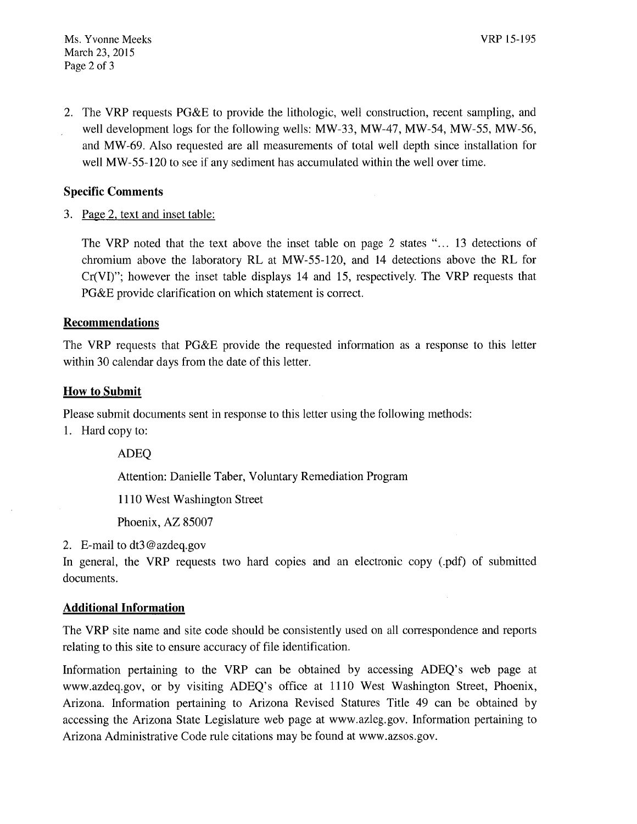2. The VRP requests PG&E to provide the lithologic, well construction, recent sampling, and well development logs for the following wells: MW-33, MW-47, MW-54, MW-55, MW-56, and MW-69. Also requested are all measurements of total well depth since installation for well MW-55-120 to see if any sediment has accumulated within the well over time.

## Specific Comments

3. Page 2, text and inset table:

The VRP noted that the text above the inset table on page 2 states "... 13 detections of chromium above the laboratory RL at MW-55-120, and 14 detections above the RL for Cr(VI)"; however the inset table displays 14 and 15, respectively. The VRP requests that PG&E provide clarification on which statement is correct.

#### **Recommendations**

The VRP requests that PG&E provide the requested information as a response to this letter within 30 calendar days from the date of this letter.

#### How to Submit

Please submit documents sent in response to this letter using the following methods:

1. Hard copy to:

ADEQ

Attention: Danielle Taber, Voluntary Remediation Program

1110 West Washington Street

Phoenix, AZ 85007

2. E-mail to dt3@azdeq.gov

In general, the VRP requests two hard copies and an electronic copy (.pdf) of submitted documents.

### Additional Information

The VRP site name and site code should be consistently used on all correspondence and reports relating to this site to ensure accuracy of file identification.

Information pertaining to the VRP can be obtained by accessing ADEQ's web page at www.azdeq.gov, or by visiting ADEQ's office at 1110 West Washington Street, Phoenix, Arizona. Information pertaining to Arizona Revised Statures Title 49 can be obtained by accessing the Arizona State Legislature web page at www.azleg.gov. Information pertaining to Arizona Administrative Code rule citations may be found at www.azsos.gov.